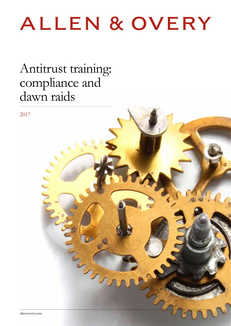# ALLEN & OVERY

## Antitrust training: compliance and dawn raids

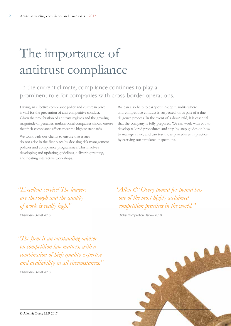## The importance of antitrust compliance

In the current climate, compliance continues to play a prominent role for companies with cross-border operations.

Having an effective compliance policy and culture in place is vital for the prevention of anti-competitive conduct. Given the proliferation of antitrust regimes and the growing magnitude of penalties, multinational companies should ensure that their compliance efforts meet the highest standards.

We work with our clients to ensure that issues do not arise in the first place by devising risk management policies and compliance programmes. This involves developing and updating guidelines, delivering training, and hosting interactive workshops.

We can also help to carry out in-depth audits where anti-competitive conduct is suspected, or as part of a due diligence process. In the event of a dawn raid, it is essential that the company is fully prepared. We can work with you to develop tailored procedures and step-by-step guides on how to manage a raid, and can test those procedures in practice by carrying out simulated inspections.

*"Excellent service! The lawyers are thorough and the quality of work is really high."*

Chambers Global 2016

*"Allen & Overy pound-for-pound has one of the most highly acclaimed competition practices in the world."*

Global Competition Review 2016

*"The firm is an outstanding adviser on competition law matters, with a combination of high-quality expertise and availability in all circumstances."*

Chambers Global 2016

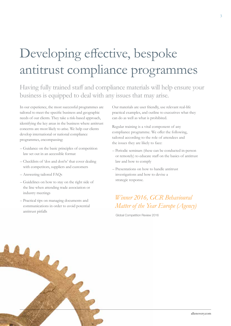## Developing effective, bespoke antitrust compliance programmes

Having fully trained staff and compliance materials will help ensure your business is equipped to deal with any issues that may arise.

In our experience, the most successful programmes are tailored to meet the specific business and geographic needs of our clients. They take a risk-based approach, identifying the key areas in the business where antitrust concerns are most likely to arise. We help our clients develop international or national compliance programmes, encompassing:

- Guidance on the basic principles of competition law set out in an accessible format
- Checklists of 'dos and don'ts' that cover dealing with competitors, suppliers and customers
- Answering tailored FAQs
- Guidelines on how to stay on the right side of the line when attending trade association or industry meetings
- Practical tips on managing documents and communications in order to avoid potential antitrust pitfalls

Our materials are user friendly, use relevant real-life practical examples, and outline to executives what they can do as well as what is prohibited.

Regular training is a vital component of any compliance programme. We offer the following, tailored according to the role of attendees and the issues they are likely to face:

- Periodic seminars (these can be conducted in-person or remotely) to educate staff on the basics of antitrust law and how to comply
- Presentations on how to handle antitrust investigations and how to devise a strategic response.

### *Winner 2016, GCR Behavioural Matter of the Year Europe (Agency)*

Global Competition Review 2016

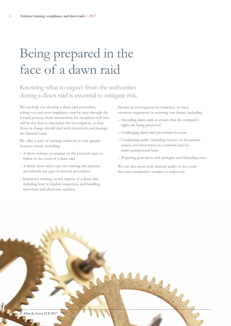## Being prepared in the face of a dawn raid

### Knowing what to expect from the authorities during a dawn raid is essential to mitigate risk.

We can help you develop a dawn raid procedure, taking you and your employees step-by-step through the formal process, from instructions for reception staff who will be the first to encounter the investigators, to how those in charge should deal with inspectors and manage the internal team.

We offer a suite of training solutions to suit specific business needs, including:

- A short webinar or seminar on the practical steps to follow in the event of a dawn raid
- A mock dawn raid to put the training into practice and identify any gaps in internal procedures
- Interactive training on key aspects of a dawn raid, including how to shadow inspectors, and handling interviews and electronic searches

Should an investigation be launched, we have extensive experience in assisting our clients, including:

- Attending dawn raids to ensure that the company's rights are being preserved
- Challenging dawn raid procedures in court
- Conducting audits (including reviews of documents seized, and interviews) on a national and/or multi-jurisdictional basis
- Preparing post-dawn raid strategies and defending cases

We can also assist with internal audits in the event that anti-competitive conduct is suspected.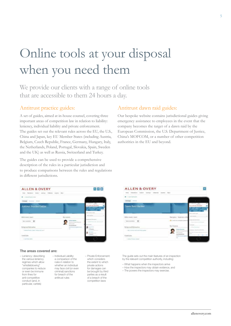## Online tools at your disposal when you need them

We provide our clients with a range of online tools that are accessible to them 24 hours a day.

### Antitrust practice guides:

A set of guides, aimed at in-house counsel, covering three important areas of competition law in relation to liability: leniency, individual liability and private enforcement. The guides set out the relevant rules across the EU, the U.S., China and Japan, key EU Member States (including Austria, Belgium, Czech Republic, France, Germany, Hungary, Italy, the Netherlands, Poland, Portugal, Slovakia, Spain, Sweden and the UK) as well as Russia, Switzerland and Turkey.

The guides can be used to provide a comprehensive description of the rules in a particular jurisdiction and to produce comparisons between the rules and regulations in different jurisdictions.

### Antitrust dawn raid guides:

Our bespoke website contains jurisdictional guides giving emergency assistance to employees in the event that the company becomes the target of a dawn raid by the European Commission, the U.S. Department of Justice, China's MOFCOM, or a number of other competition authorities in the EU and beyond.



#### The areas covered are:

– Leniency: describing the various leniency regimes which allow "whistleblowing" companies to reduce or even be immune from fines for anti-competitive conduct (and, in particular, cartels)

– Individual Liability: a comparison of the rules in relation to whether an individual may face civil (or even criminal) sanctions for breach of the antitrust rules

– Private Enforcement: which considers the extent to which private actions for damages can be brought by third parties as a result of a breach of the competition laws



The guide sets out the main features of an inspection by the relevant competition authority, including:

- What happens when the inspectors arrive
- How the inspectors may obtain evidence, and
- The powers the inspectors may exercise.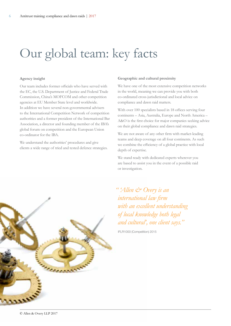## Our global team: key facts

#### **Agency insight**

Our team includes former officials who have served with the EC, the U.S. Department of Justice and Federal Trade Commission, China's MOFCOM and other competition agencies at EU Member State level and worldwide. In addition we have several non-governmental advisers to the International Competition Network of competition authorities and a former president of the International Bar Association, a director and founding member of the IBA's global forum on competition and the European Union co-ordinator for the IBA.

We understand the authorities' procedures and give clients a wide range of tried and tested defence strategies.

#### **Geographic and cultural proximity**

We have one of the most extensive competition networks in the world, meaning we can provide you with both co-ordinated cross-jurisdictional and local advice on compliance and dawn raid matters.

With over 100 specialists based in 18 offices serving four continents – Asia, Australia, Europe and North America – A&O is the first choice for major companies seeking advice on their global compliance and dawn raid strategies.

We are not aware of any other firm with market-leading teams and deep coverage on all four continents. As such we combine the efficiency of a global practice with local depth of expertise.

We stand ready with dedicated experts wherever you are based to assist you in the event of a possible raid or investigation.

*" 'Allen & Overy is an international law firm with an excellent understanding of local knowledge both legal and cultural', one client says."*

IFLR1000 (Competition) 2015

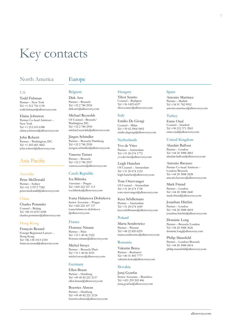## Key contacts

### North America

### Europe

#### U.S.

Todd Fishman Partner – New York Tel +1 212 756 1130 todd.fishman@allenovery.com

Elaine Johnston Partner Co-head Antitrust – New York Tel +1 212 610 6388 elaine.johnston@allenovery.com

John Roberti Partner – Washington, D.C. Tel +1 202 683 3862 john.roberti@allenovery.com

### Asia Pacific

#### Australia

Peter McDonald Partner – Sydney Tel +61 2 9373 7582 peter.mcdonald@allenovery.com

#### China

Charles Pommiès Counsel – Beijing Tel +86 10 6535 4188 charles.pommies@allenovery.com

#### Hong Kong

François Renard Foreign Registered Lawyer – Hong Kong Tel +86 138 1013 6350 francois.renard@allenovery.com

#### Belgium

Dirk Arts Partner – Brussels Tel +32 2 780 2924 dirk.arts@allenovery.com

Michael Reynolds Of Counsel – Brussels/ Washington, D.C. Tel +32 2 780 2950 michael.reynolds@allenovery.com

Jürgen Schindler Partner – Brussels/Hamburg Tel +32 2 780 2920 juergen.schindler@allenovery.com

Vanessa Turner Partner – Brussels Tel +32 2 780 2957 vanessa.turner@allenovery.com

#### Czech Republic

Iva Bilinska Associate – Prague Tel +420 222 107 113 iva.bilinska@allenovery.com

Ivana Halamova Dobiskova Senior Associate – Prague Tel +420 222 107 137 ivana.halamova-dobiskova @allenovery.com

#### France

Florence Ninane Partner – Paris Tel +33 1 40 06 5322 florence.ninane@allenovery.com

Michel Struys Partner – Brussels/Paris Tel +33 1 40 06 5035 michel.struys@allenovery.com

#### Germany

Ellen Braun Partner – Hamburg Tel +49 40 82 221 2137 ellen.braun@allenovery.com

Boerries Ahrens Partner – Hamburg Tel +49 40 82 221 2124 boerries.ahrens@allenovery.com

#### Hungary

Tibor Szanto Counsel – Budapest Tel  $+36$  1429 6037 tibor.szanto@allenovery.com

#### Italy

Emilio De Giorgi Counsel – Milan Tel +39 02 2904 9492 emilio.degiorgi@allenovery.com

#### **Netherlands**

Yvo de Vries Partner – Amsterdam Tel +31 20 674 1772 yvo.devries@allenovery.com

Leigh Hancher Of Counsel – Amsterdam Tel +31 20 674 1122 leigh.hancher@allenovery.com

Tom Ottervanger Of Counsel – Amsterdam Tel +31 20 674 1758 tom.ottervanger@allenovery.com

Kees Schillemans Partner – Amsterdam Tel +31 20 674 1649 kees.schillemans@allenovery.com

#### Poland

Marta Sendrowicz Partner – Warsaw Tel +48 22 820 6255 marta.sendrowicz@allenovery.com

#### Romania

Valentin Berea Partner – Bucharest Tel +40 31 405 7777 valentin.berea@allenovery.com

#### Slovakia

Juraj Gyarfas Senior Associate – Bratislava Tel +421 259 202 406 juraj.gyarfas@allenovery.com

#### Spain

Antonio Martinez Partner – Madrid Tel +34 91 782 9952 antonio.martinez@allenovery.com

#### Turkey

Emre Onal Counsel – Istanbul Tel +90 212 371 2965 emre.onal@allenovery.com

#### United Kingdom

Alasdair Balfour Partner – London Tel +44 20 3088 2865 alasdair.balfour@allenovery.com

#### Antonio Bavasso

Partner Co-head Antitrust – London/Brussels Tel +44 20 3088 2428 antonio.bavasso@allenovery.com

Mark Friend Partner – London Tel +44 20 3088 2440 mark.friend@allenovery.com

Jonathan Hitchin Partner – London Tel +44 20 3088 4818 jonathan.hitchin@allenovery.com

Dominic Long Partner – Brussels/London Tel +44 20 3088 3626 dominic.long@allenovery.com

Philip Mansfield Partner – London/Brussels Tel +44 20 3088 4414 philip.mansfield@allenovery.com